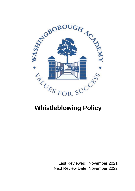

# **Whistleblowing Policy**

Last Reviewed: November 2021 Next Review Date: November 2022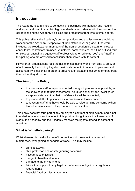

## **Introduction**

The Academy is committed to conducting its business with honesty and integrity and expects all staff to maintain high standards in accordance with their contractual obligations and the Academy's policies and procedures from time to time in force.

This policy reflects the Academy's current practices and applies to every individual working for the Academy irrespective of their status, level or grade. It therefore includes, the Headteacher, members of the Senior Leadership Team, employees, consultants, contractors, trainees, volunteers, home-workers, part-time or fixed-term employees, casual and agency staff (collectively referred to as "you" and "Staff" in this policy) who are advised to familiarise themselves with its content.

However, all organisations face the risk of things going wrong from time to time, or of unknowingly harbouring illegal or unethical conduct. A culture of openness and accountability is essential in order to prevent such situations occurring or to address them when they do occur.

## **The Aim of this Policy**

- to encourage staff to report suspected wrongdoing as soon as possible, in the knowledge that their concerns will be taken seriously and investigated as appropriate, and that their confidentiality will be respected;
- to provide staff with guidance as to how to raise those concerns;
- to reassure staff that they should be able to raise genuine concerns without fear of reprisals, even if they turn out to be mistaken.

This policy does not form part of any employee's contract of employment and is not intended to have contractual effect. It is provided for guidance to all members of staff at the Academy and the Academy reserves the right to amend its content at any time.

## **What is Whistleblowing?**

Whistleblowing is the disclosure of information which relates to suspected malpractice, wrongdoing or dangers at work. This may include:

- criminal activity;
- child protection and/or safeguarding concerns;
- miscarriages of justice;
- danger to health and safety;
- damage to the environment;
- failure to comply with any legal or professional obligation or regulatory requirements;
- financial fraud or mismanagement;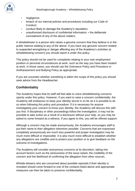

- negligence;
- breach of our internal policies and procedures including our Code of Conduct;
- conduct likely to damage the Academy's reputation;
- unauthorised disclosure of confidential information; the deliberate concealment of any of the above matters.

A whistleblower is a person who raises a genuine concern that they believe is in the public interest relating to any of the above. If you have any genuine concern related to suspected wrongdoing or danger affecting any of the Academy's activities (a whistleblowing concern) you should report it under this policy.

This policy should not be used for complaints relating to your own employment position or personal circumstances at work, such as the way you have been treated at work. In those cases, you should use the Grievance Policy and Procedure or Antiharassment and Bullying Policy as appropriate.

If you are uncertain whether something is within the scope of this policy you should seek advice from the Headteacher.

## **Confidentiality**

The Academy hopes that its staff will feel able to voice whistleblowing concerns openly under this policy. However, if you want to raise a concern confidentially, the Academy will endeavour to keep your identity secret in so far as it is possible to do so when following this policy and procedure. If it is necessary for anyone investigating your concern to know your identity, the Academy will discuss this with you first. If disciplinary or other proceedings follow the investigation, it may not be possible to take action as a result of a disclosure without your help, so you may be asked to come forward as a witness. If you agree to this, you will be offered support.

Although a concern may be made anonymously, the Academy encourages staff to put their name to their allegation whenever possible. Concerns that are expressed completely anonymously are much less powerful and proper investigation may be much more difficult or impossible. It is also much more difficult to establish whether any allegations are credible and to protect your position or to give feedback on the outcome of investigations.

The Academy will consider anonymous concerns at its discretion, taking into account factors such as the seriousness of the issue raised, the credibility of the concern and the likelihood of confirming the allegation from other sources.

Whistle-blowers who are concerned about possible reprisals if their identity is revealed should come forward to one of the contacts listed above and appropriate measures can then be taken to preserve confidentiality.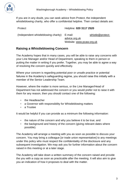

If you are in any doubt, you can seek advice from Protect, the independent whistleblowing charity, who offer a confidential helpline. Their contact details are:

| Protect                              | Helpline: 020 3117 2520                              |                  |
|--------------------------------------|------------------------------------------------------|------------------|
| (Independent whistleblowing charity) | E-mail:<br>advice.org.uk<br>Website: www.pcaw.org.uk | whistle@protect- |

#### **Raising a Whistleblowing Concern**

The Academy hopes that in many cases, you will be able to raise any concerns with your Line Manager and/or Head of Department, speaking to them in person or putting the matter in writing if you prefer. Together, you may be able to agree a way of resolving the concern quickly and effectively.

Where your concern is regarding potential poor or unsafe practice or potential failures in the Academy's safeguarding regime, you should raise this initially with a member of the Senior Leadership Team.

However, where the matter is more serious, or the Line Manager/Head of Department has not addressed the concern or you would prefer not to raise it with them for any reason, then you should contact one of the following:

- the Headteacher
- a Governor with responsibility for Whistleblowing matters
- a Trustee

It would be helpful if you can provide as a minimum the following information:

- the nature of the concern and why you believe it to be true; and
- the background and history of the concern (giving relevant dates where possible).

The Academy will arrange a meeting with you as soon as possible to discuss your concern. You may bring a colleague [or trade union representative] to any meetings under this policy who must respect the confidentiality of the disclosure and any subsequent investigation. We may ask you for further information about the concern raised in this meeting or at a later stage.

The Academy will take down a written summary of the concern raised and provide the you with a copy as soon as practicable after the meeting. It will also aim to give you an indication of how it proposes to deal with the matter.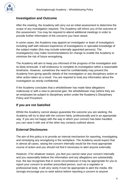#### **Investigation and Outcome**

After the meeting, the Academy will carry out an initial assessment to determine the scope of any investigation required. The Academy will inform you of the outcome of this assessment. You may be required to attend additional meetings in order to provide further information of the concerns you have raised.

In some cases, the Academy may appoint an investigator or team of investigators including staff with relevant experience of investigations or specialist knowledge of the subject matter (this may include externally appointed persons). The investigator(s) may make recommendations for change to enable the Academy to minimise the risk of future wrongdoing.

The Academy will aim to keep you informed of the progress of the investigation and its likely timescale. It will endeavour to complete its investigation within a reasonable timeframe. However, sometimes the need for confidentiality may prevent the Academy from giving specific details of the investigation or any disciplinary action or other action taken as a result. You are required to treat any information about the investigation as strictly confidential.

If the Academy concludes that a whistleblower has made false allegations maliciously or with a view to personal gain, the whistleblower may (where they are an employee) be subject to disciplinary action under the Academy's Disciplinary Policy and Procedure.

#### **If you are not Satisfied**

Whilst the Academy cannot always guarantee the outcome you are seeking, the Academy will try to deal with the concern fairly, professionally and in an appropriate way. If you are not happy with the way in which your concern has been handled, you can raise it with one of the other key contacts outlined above.

#### **External Disclosures**

The aim of this policy is to provide an internal mechanism for reporting, investigating and remedying any wrongdoing in the workplace. The Academy would expect that in almost all cases, raising the concern internally would be the most appropriate course of action and you should not find it necessary to alert anyone externally.

However, if for whatever reason, you feel you cannot raise your concern internally and you reasonably believe the information and any allegations are substantially true, the law recognises that in some circumstances it may be appropriate for you to report your concern to another prescribed person, such as a regulator or professional body. It will very rarely if ever be appropriate to alert the media. We strongly encourage you to seek advice before reporting a concern to anyone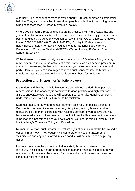

externally. The independent whistleblowing charity, Protect, operates a confidential helpline. They also have a list of prescribed people and bodies for reporting certain types of concern (see "Further Information" below).

Where you concern is regarding safeguarding practices within the Academy, and you feel unable to raise it internally or have concerns about the way your concern is being handled by the Academy you can contact the NSPCC whistleblowing advice line on 0800 028 0285 – 8:00 AM to 8:00 PM, Monday to Friday or email: help@nspcc.org.uk. Alternatively, you can write to: National Society for the Prevention of Cruelty to Children (NSPCC), Weston House, 42 Curtain Road, London EC2A 3NH.

Whistleblowing concerns usually relate to the conduct of Academy Staff, but they may sometimes relate to the actions of a third party, such as a service provider. In some circumstances, the law will protect you if you raise the matter with the third party. However, you are encouraged to report such concerns internally first. You should contact one of the other individuals set out above for guidance.

### **Protection and Support for Whistle-blowers**

It is understandable that whistle-blowers are sometimes worried about possible repercussions. The Academy is committed to good practice and high standards. It aims to encourage openness and will support Staff who raise genuine concerns under this policy, even if they turn out to be mistaken.

Staff must not suffer any detrimental treatment as a result of raising a concern. Detrimental treatment includes dismissal, disciplinary action, threats or other unfavourable treatment connected with raising a concern. If you believe that you have suffered any such treatment, you should inform the Headteacher immediately. If the matter is not remedied to your satisfaction, you should raise it formally using the Academy's Grievance Policy and Procedure.

No member of staff must threaten or retaliate against an individual who has raised a concern in any way. The Academy will not tolerate any such harassment or victimisation and anyone involved in such conduct will be subject to disciplinary action.

However, to ensure the protection of all our staff, those who raise a concern frivolously, maliciously and/or for personal gain and/or make an allegation they do not reasonably believe to be true and/or made in the public interest will also be liable to disciplinary action.